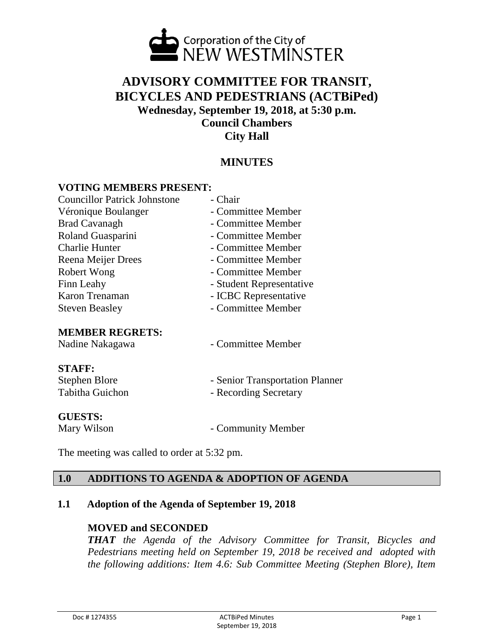

# **ADVISORY COMMITTEE FOR TRANSIT, BICYCLES AND PEDESTRIANS (ACTBiPed) Wednesday, September 19, 2018, at 5:30 p.m. Council Chambers City Hall**

## **MINUTES**

#### **VOTING MEMBERS PRESENT:**

| <b>Councillor Patrick Johnstone</b> | - Chair                         |
|-------------------------------------|---------------------------------|
| Véronique Boulanger                 | - Committee Member              |
| <b>Brad Cavanagh</b>                | - Committee Member              |
| Roland Guasparini                   | - Committee Member              |
| <b>Charlie Hunter</b>               | - Committee Member              |
| Reena Meijer Drees                  | - Committee Member              |
| Robert Wong                         | - Committee Member              |
| Finn Leahy                          | - Student Representative        |
| Karon Trenaman                      | - ICBC Representative           |
| <b>Steven Beasley</b>               | - Committee Member              |
| <b>MEMBER REGRETS:</b>              |                                 |
| Nadine Nakagawa                     | - Committee Member              |
| <b>STAFF:</b>                       |                                 |
| Stephen Blore                       | - Senior Transportation Planner |
| <b>Tabitha Guichon</b>              | - Recording Secretary           |
| <b>GUESTS:</b>                      |                                 |
| Mary Wilson                         | - Community Member              |

The meeting was called to order at 5:32 pm.

## **1.0 ADDITIONS TO AGENDA & ADOPTION OF AGENDA**

#### **1.1 Adoption of the Agenda of September 19, 2018**

#### **MOVED and SECONDED**

*THAT the Agenda of the Advisory Committee for Transit, Bicycles and Pedestrians meeting held on September 19, 2018 be received and adopted with the following additions: Item 4.6: Sub Committee Meeting (Stephen Blore), Item*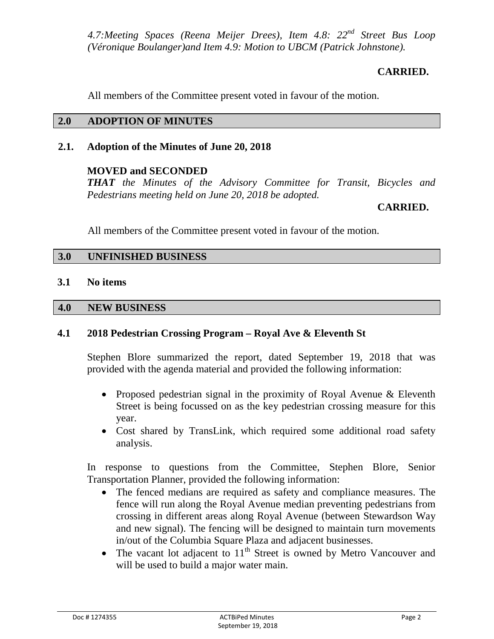*4.7:Meeting Spaces (Reena Meijer Drees), Item 4.8: 22nd Street Bus Loop (Véronique Boulanger)and Item 4.9: Motion to UBCM (Patrick Johnstone).*

## **CARRIED.**

All members of the Committee present voted in favour of the motion.

## **2.0 ADOPTION OF MINUTES**

## **2.1. Adoption of the Minutes of June 20, 2018**

## **MOVED and SECONDED**

*THAT the Minutes of the Advisory Committee for Transit, Bicycles and Pedestrians meeting held on June 20, 2018 be adopted.*

## **CARRIED.**

All members of the Committee present voted in favour of the motion.

## **3.0 UNFINISHED BUSINESS**

#### **3.1 No items**

#### **4.0 NEW BUSINESS**

## **4.1 2018 Pedestrian Crossing Program – Royal Ave & Eleventh St**

Stephen Blore summarized the report, dated September 19, 2018 that was provided with the agenda material and provided the following information:

- Proposed pedestrian signal in the proximity of Royal Avenue & Eleventh Street is being focussed on as the key pedestrian crossing measure for this year.
- Cost shared by TransLink, which required some additional road safety analysis.

In response to questions from the Committee, Stephen Blore, Senior Transportation Planner, provided the following information:

- The fenced medians are required as safety and compliance measures. The fence will run along the Royal Avenue median preventing pedestrians from crossing in different areas along Royal Avenue (between Stewardson Way and new signal). The fencing will be designed to maintain turn movements in/out of the Columbia Square Plaza and adjacent businesses.
- The vacant lot adjacent to  $11<sup>th</sup>$  Street is owned by Metro Vancouver and will be used to build a major water main.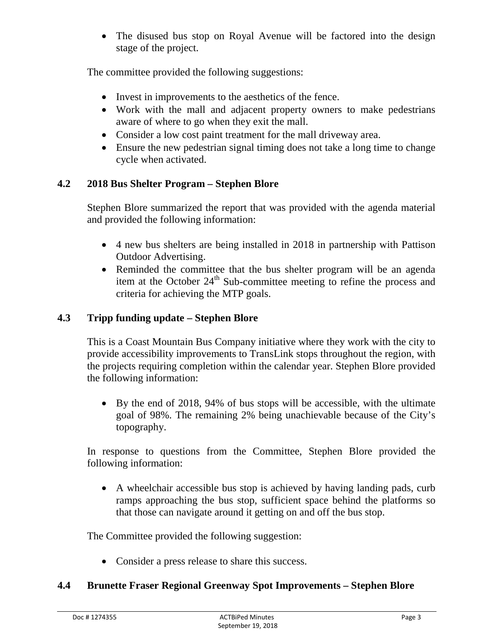• The disused bus stop on Royal Avenue will be factored into the design stage of the project.

The committee provided the following suggestions:

- Invest in improvements to the aesthetics of the fence.
- Work with the mall and adjacent property owners to make pedestrians aware of where to go when they exit the mall.
- Consider a low cost paint treatment for the mall driveway area.
- Ensure the new pedestrian signal timing does not take a long time to change cycle when activated.

## **4.2 2018 Bus Shelter Program – Stephen Blore**

Stephen Blore summarized the report that was provided with the agenda material and provided the following information:

- 4 new bus shelters are being installed in 2018 in partnership with Pattison Outdoor Advertising.
- Reminded the committee that the bus shelter program will be an agenda item at the October  $24<sup>th</sup>$  Sub-committee meeting to refine the process and criteria for achieving the MTP goals.

## **4.3 Tripp funding update – Stephen Blore**

This is a Coast Mountain Bus Company initiative where they work with the city to provide accessibility improvements to TransLink stops throughout the region, with the projects requiring completion within the calendar year. Stephen Blore provided the following information:

• By the end of 2018, 94% of bus stops will be accessible, with the ultimate goal of 98%. The remaining 2% being unachievable because of the City's topography.

In response to questions from the Committee, Stephen Blore provided the following information:

• A wheelchair accessible bus stop is achieved by having landing pads, curb ramps approaching the bus stop, sufficient space behind the platforms so that those can navigate around it getting on and off the bus stop.

The Committee provided the following suggestion:

• Consider a press release to share this success.

## **4.4 Brunette Fraser Regional Greenway Spot Improvements – Stephen Blore**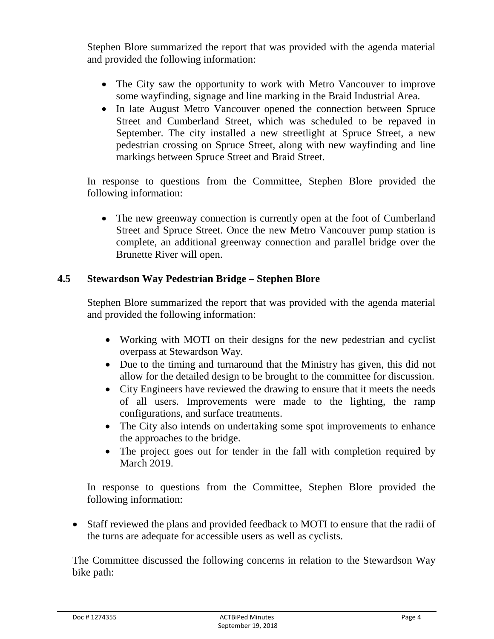Stephen Blore summarized the report that was provided with the agenda material and provided the following information:

- The City saw the opportunity to work with Metro Vancouver to improve some wayfinding, signage and line marking in the Braid Industrial Area.
- In late August Metro Vancouver opened the connection between Spruce Street and Cumberland Street, which was scheduled to be repaved in September. The city installed a new streetlight at Spruce Street, a new pedestrian crossing on Spruce Street, along with new wayfinding and line markings between Spruce Street and Braid Street.

In response to questions from the Committee, Stephen Blore provided the following information:

• The new greenway connection is currently open at the foot of Cumberland Street and Spruce Street. Once the new Metro Vancouver pump station is complete, an additional greenway connection and parallel bridge over the Brunette River will open.

## **4.5 Stewardson Way Pedestrian Bridge – Stephen Blore**

Stephen Blore summarized the report that was provided with the agenda material and provided the following information:

- Working with MOTI on their designs for the new pedestrian and cyclist overpass at Stewardson Way.
- Due to the timing and turnaround that the Ministry has given, this did not allow for the detailed design to be brought to the committee for discussion.
- City Engineers have reviewed the drawing to ensure that it meets the needs of all users. Improvements were made to the lighting, the ramp configurations, and surface treatments.
- The City also intends on undertaking some spot improvements to enhance the approaches to the bridge.
- The project goes out for tender in the fall with completion required by March 2019.

In response to questions from the Committee, Stephen Blore provided the following information:

• Staff reviewed the plans and provided feedback to MOTI to ensure that the radii of the turns are adequate for accessible users as well as cyclists.

The Committee discussed the following concerns in relation to the Stewardson Way bike path: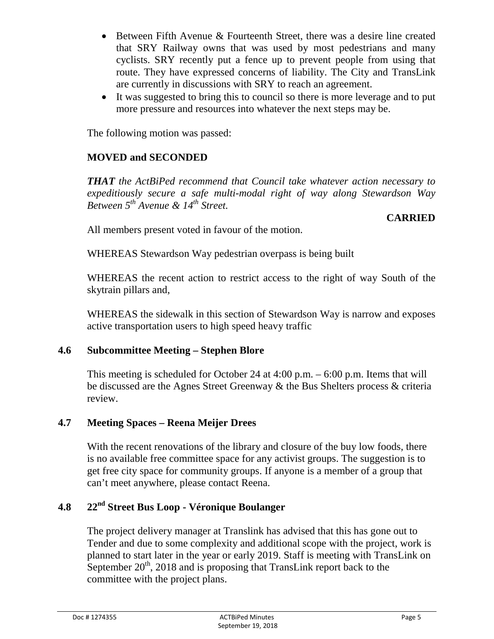- Between Fifth Avenue & Fourteenth Street, there was a desire line created that SRY Railway owns that was used by most pedestrians and many cyclists. SRY recently put a fence up to prevent people from using that route. They have expressed concerns of liability. The City and TransLink are currently in discussions with SRY to reach an agreement.
- It was suggested to bring this to council so there is more leverage and to put more pressure and resources into whatever the next steps may be.

The following motion was passed:

# **MOVED and SECONDED**

*THAT the ActBiPed recommend that Council take whatever action necessary to expeditiously secure a safe multi-modal right of way along Stewardson Way Between 5th Avenue & 14th Street.*

## **CARRIED**

All members present voted in favour of the motion.

WHEREAS Stewardson Way pedestrian overpass is being built

WHEREAS the recent action to restrict access to the right of way South of the skytrain pillars and,

WHEREAS the sidewalk in this section of Stewardson Way is narrow and exposes active transportation users to high speed heavy traffic

## **4.6 Subcommittee Meeting – Stephen Blore**

This meeting is scheduled for October 24 at 4:00 p.m. – 6:00 p.m. Items that will be discussed are the Agnes Street Greenway & the Bus Shelters process & criteria review.

## **4.7 Meeting Spaces – Reena Meijer Drees**

With the recent renovations of the library and closure of the buy low foods, there is no available free committee space for any activist groups. The suggestion is to get free city space for community groups. If anyone is a member of a group that can't meet anywhere, please contact Reena.

# **4.8 22nd Street Bus Loop - Véronique Boulanger**

The project delivery manager at Translink has advised that this has gone out to Tender and due to some complexity and additional scope with the project, work is planned to start later in the year or early 2019. Staff is meeting with TransLink on September  $20<sup>th</sup>$ , 2018 and is proposing that TransLink report back to the committee with the project plans.